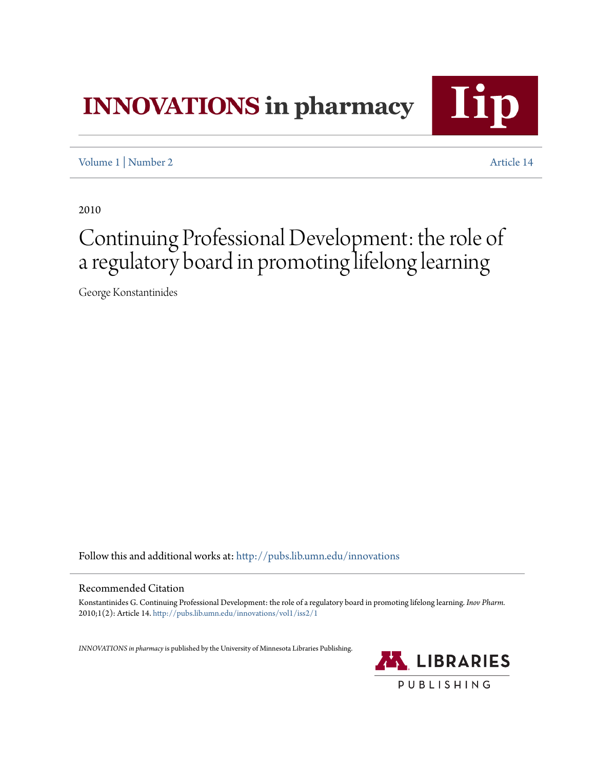# **INNOVATIONS** in pharmacy



[Volume 1](http://pubs.lib.umn.edu/innovations/vol1?utm_source=pubs.lib.umn.edu%2Finnovations%2Fvol1%2Fiss2%2F1&utm_medium=PDF&utm_campaign=PDFCoverPages) | [Number 2](http://pubs.lib.umn.edu/innovations/vol1/iss2?utm_source=pubs.lib.umn.edu%2Finnovations%2Fvol1%2Fiss2%2F1&utm_medium=PDF&utm_campaign=PDFCoverPages) [Article 14](http://pubs.lib.umn.edu/innovations/vol1/iss2/1?utm_source=pubs.lib.umn.edu%2Finnovations%2Fvol1%2Fiss2%2F1&utm_medium=PDF&utm_campaign=PDFCoverPages)

2010

## Continuing Professional Development: the role of a regulatory board in promoting lifelong learning

George Konstantinides

Follow this and additional works at: [http://pubs.lib.umn.edu/innovations](http://pubs.lib.umn.edu/innovations?utm_source=pubs.lib.umn.edu%2Finnovations%2Fvol1%2Fiss2%2F1&utm_medium=PDF&utm_campaign=PDFCoverPages)

#### Recommended Citation

Konstantinides G. Continuing Professional Development: the role of a regulatory board in promoting lifelong learning. *Inov Pharm.* 2010;1(2): Article 14. [http://pubs.lib.umn.edu/innovations/vol1/iss2/1](http://pubs.lib.umn.edu/innovations/vol1/iss2/1?utm_source=pubs.lib.umn.edu%2Finnovations%2Fvol1%2Fiss2%2F1&utm_medium=PDF&utm_campaign=PDFCoverPages)

*INNOVATIONS in pharmacy*is published by the University of Minnesota Libraries Publishing.

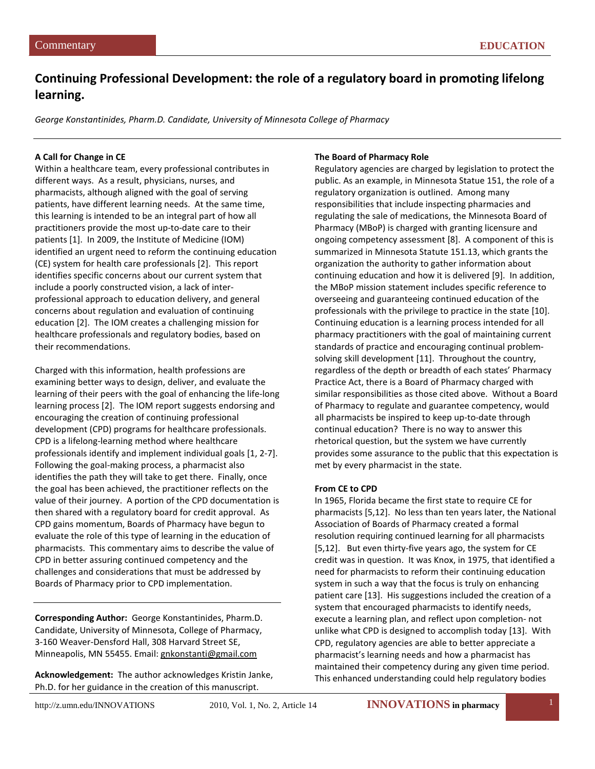### **Continuing Professional Development: the role of a regulatory board in promoting lifelong learning.**

*George Konstantinides, Pharm.D. Candidate, University of Minnesota College of Pharmacy*

#### **A Call for Change in CE**

Within a healthcare team, every professional contributes in different ways. As a result, physicians, nurses, and pharmacists, although aligned with the goal of serving patients, have different learning needs. At the same time, this learning is intended to be an integral part of how all practitioners provide the most up-to-date care to their patients [1]. In 2009, the Institute of Medicine (IOM) identified an urgent need to reform the continuing education (CE) system for health care professionals [2]. This report identifies specific concerns about our current system that include a poorly constructed vision, a lack of interprofessional approach to education delivery, and general concerns about regulation and evaluation of continuing education [2]. The IOM creates a challenging mission for healthcare professionals and regulatory bodies, based on their recommendations.

Charged with this information, health professions are examining better ways to design, deliver, and evaluate the learning of their peers with the goal of enhancing the life-long learning process [2]. The IOM report suggests endorsing and encouraging the creation of continuing professional development (CPD) programs for healthcare professionals. CPD is a lifelong-learning method where healthcare professionals identify and implement individual goals [1, 2-7]. Following the goal-making process, a pharmacist also identifies the path they will take to get there. Finally, once the goal has been achieved, the practitioner reflects on the value of their journey. A portion of the CPD documentation is then shared with a regulatory board for credit approval. As CPD gains momentum, Boards of Pharmacy have begun to evaluate the role of this type of learning in the education of pharmacists. This commentary aims to describe the value of CPD in better assuring continued competency and the challenges and considerations that must be addressed by Boards of Pharmacy prior to CPD implementation.

**Corresponding Author:** George Konstantinides, Pharm.D. Candidate, University of Minnesota, College of Pharmacy, 3-160 Weaver-Densford Hall, 308 Harvard Street SE, Minneapolis, MN 55455. Email[: gnkonstanti@gmail.com](mailto:gnkonstanti@gmail.com)

**Acknowledgement:** The author acknowledges Kristin Janke, Ph.D. for her guidance in the creation of this manuscript.

#### **The Board of Pharmacy Role**

Regulatory agencies are charged by legislation to protect the public. As an example, in Minnesota Statue 151, the role of a regulatory organization is outlined. Among many responsibilities that include inspecting pharmacies and regulating the sale of medications, the Minnesota Board of Pharmacy (MBoP) is charged with granting licensure and ongoing competency assessment [8]. A component of this is summarized in Minnesota Statute 151.13, which grants the organization the authority to gather information about continuing education and how it is delivered [9]. In addition, the MBoP mission statement includes specific reference to overseeing and guaranteeing continued education of the professionals with the privilege to practice in the state [10]. Continuing education is a learning process intended for all pharmacy practitioners with the goal of maintaining current standards of practice and encouraging continual problemsolving skill development [11]. Throughout the country, regardless of the depth or breadth of each states' Pharmacy Practice Act, there is a Board of Pharmacy charged with similar responsibilities as those cited above. Without a Board of Pharmacy to regulate and guarantee competency, would all pharmacists be inspired to keep up-to-date through continual education? There is no way to answer this rhetorical question, but the system we have currently provides some assurance to the public that this expectation is met by every pharmacist in the state.

#### **From CE to CPD**

In 1965, Florida became the first state to require CE for pharmacists [5,12]. No less than ten years later, the National Association of Boards of Pharmacy created a formal resolution requiring continued learning for all pharmacists [5,12]. But even thirty-five years ago, the system for CE credit was in question. It was Knox, in 1975, that identified a need for pharmacists to reform their continuing education system in such a way that the focus is truly on enhancing patient care [13]. His suggestions included the creation of a system that encouraged pharmacists to identify needs, execute a learning plan, and reflect upon completion- not unlike what CPD is designed to accomplish today [13]. With CPD, regulatory agencies are able to better appreciate a pharmacist's learning needs and how a pharmacist has maintained their competency during any given time period. This enhanced understanding could help regulatory bodies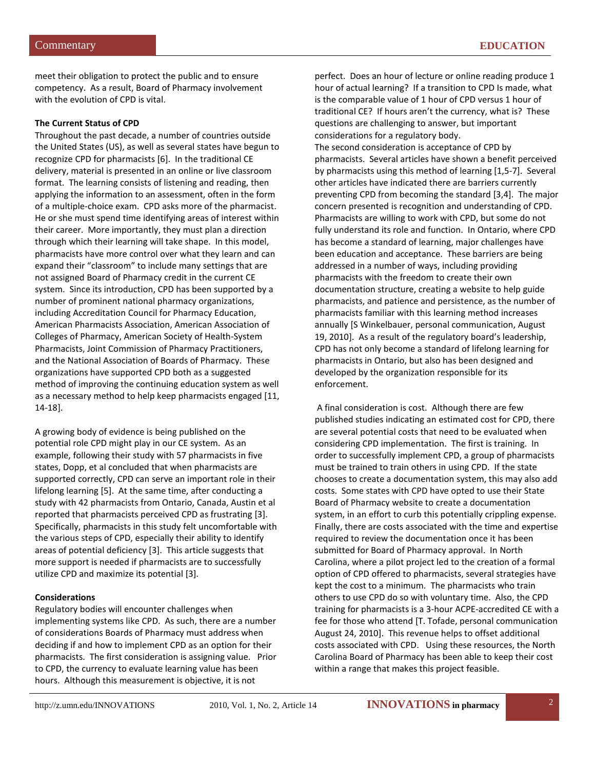meet their obligation to protect the public and to ensure competency. As a result, Board of Pharmacy involvement with the evolution of CPD is vital.

#### **The Current Status of CPD**

Throughout the past decade, a number of countries outside the United States (US), as well as several states have begun to recognize CPD for pharmacists [6]. In the traditional CE delivery, material is presented in an online or live classroom format. The learning consists of listening and reading, then applying the information to an assessment, often in the form of a multiple-choice exam. CPD asks more of the pharmacist. He or she must spend time identifying areas of interest within their career. More importantly, they must plan a direction through which their learning will take shape. In this model, pharmacists have more control over what they learn and can expand their "classroom" to include many settings that are not assigned Board of Pharmacy credit in the current CE system. Since its introduction, CPD has been supported by a number of prominent national pharmacy organizations, including Accreditation Council for Pharmacy Education, American Pharmacists Association, American Association of Colleges of Pharmacy, American Society of Health-System Pharmacists, Joint Commission of Pharmacy Practitioners, and the National Association of Boards of Pharmacy. These organizations have supported CPD both as a suggested method of improving the continuing education system as well as a necessary method to help keep pharmacists engaged [11, 14-18].

A growing body of evidence is being published on the potential role CPD might play in our CE system. As an example, following their study with 57 pharmacists in five states, Dopp, et al concluded that when pharmacists are supported correctly, CPD can serve an important role in their lifelong learning [5]. At the same time, after conducting a study with 42 pharmacists from Ontario, Canada, Austin et al reported that pharmacists perceived CPD as frustrating [3]. Specifically, pharmacists in this study felt uncomfortable with the various steps of CPD, especially their ability to identify areas of potential deficiency [3]. This article suggests that more support is needed if pharmacists are to successfully utilize CPD and maximize its potential [3].

#### **Considerations**

Regulatory bodies will encounter challenges when implementing systems like CPD. As such, there are a number of considerations Boards of Pharmacy must address when deciding if and how to implement CPD as an option for their pharmacists. The first consideration is assigning value. Prior to CPD, the currency to evaluate learning value has been hours. Although this measurement is objective, it is not

perfect. Does an hour of lecture or online reading produce 1 hour of actual learning? If a transition to CPD Is made, what is the comparable value of 1 hour of CPD versus 1 hour of traditional CE? If hours aren't the currency, what is? These questions are challenging to answer, but important considerations for a regulatory body.

The second consideration is acceptance of CPD by pharmacists. Several articles have shown a benefit perceived by pharmacists using this method of learning [1,5-7]. Several other articles have indicated there are barriers currently preventing CPD from becoming the standard [3,4]. The major concern presented is recognition and understanding of CPD. Pharmacists are willing to work with CPD, but some do not fully understand its role and function. In Ontario, where CPD has become a standard of learning, major challenges have been education and acceptance. These barriers are being addressed in a number of ways, including providing pharmacists with the freedom to create their own documentation structure, creating a website to help guide pharmacists, and patience and persistence, as the number of pharmacists familiar with this learning method increases annually [S Winkelbauer, personal communication, August 19, 2010]. As a result of the regulatory board's leadership, CPD has not only become a standard of lifelong learning for pharmacists in Ontario, but also has been designed and developed by the organization responsible for its enforcement.

A final consideration is cost. Although there are few published studies indicating an estimated cost for CPD, there are several potential costs that need to be evaluated when considering CPD implementation. The first is training. In order to successfully implement CPD, a group of pharmacists must be trained to train others in using CPD. If the state chooses to create a documentation system, this may also add costs. Some states with CPD have opted to use their State Board of Pharmacy website to create a documentation system, in an effort to curb this potentially crippling expense. Finally, there are costs associated with the time and expertise required to review the documentation once it has been submitted for Board of Pharmacy approval. In North Carolina, where a pilot project led to the creation of a formal option of CPD offered to pharmacists, several strategies have kept the cost to a minimum. The pharmacists who train others to use CPD do so with voluntary time. Also, the CPD training for pharmacists is a 3-hour ACPE-accredited CE with a fee for those who attend [T. Tofade, personal communication August 24, 2010]. This revenue helps to offset additional costs associated with CPD. Using these resources, the North Carolina Board of Pharmacy has been able to keep their cost within a range that makes this project feasible.